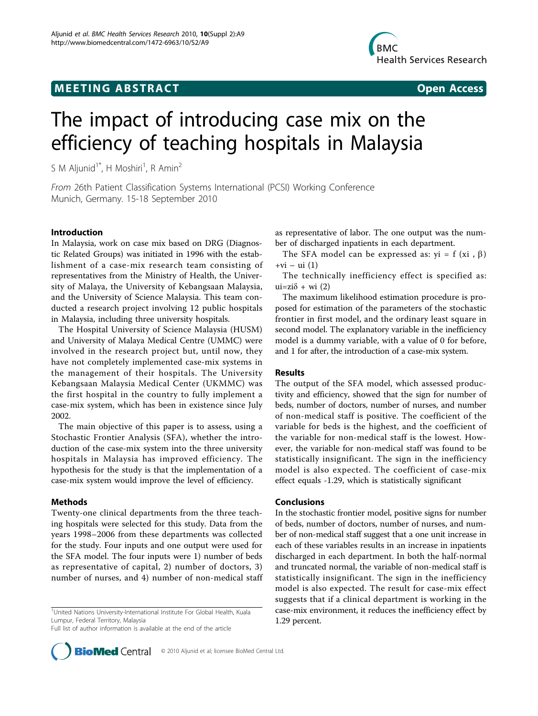# **MEETING ABSTRACT CONSUMING ABSTRACT**



# The impact of introducing case mix on the efficiency of teaching hospitals in Malaysia

S M Aljunid<sup>1\*</sup>, H Moshiri<sup>1</sup>, R Amin<sup>2</sup>

From 26th Patient Classification Systems International (PCSI) Working Conference Munich, Germany. 15-18 September 2010

### Introduction

In Malaysia, work on case mix based on DRG (Diagnostic Related Groups) was initiated in 1996 with the establishment of a case-mix research team consisting of representatives from the Ministry of Health, the University of Malaya, the University of Kebangsaan Malaysia, and the University of Science Malaysia. This team conducted a research project involving 12 public hospitals in Malaysia, including three university hospitals.

The Hospital University of Science Malaysia (HUSM) and University of Malaya Medical Centre (UMMC) were involved in the research project but, until now, they have not completely implemented case-mix systems in the management of their hospitals. The University Kebangsaan Malaysia Medical Center (UKMMC) was the first hospital in the country to fully implement a case-mix system, which has been in existence since July 2002.

The main objective of this paper is to assess, using a Stochastic Frontier Analysis (SFA), whether the introduction of the case-mix system into the three university hospitals in Malaysia has improved efficiency. The hypothesis for the study is that the implementation of a case-mix system would improve the level of efficiency.

#### Methods

Twenty-one clinical departments from the three teaching hospitals were selected for this study. Data from the years 1998–2006 from these departments was collected for the study. Four inputs and one output were used for the SFA model. The four inputs were 1) number of beds as representative of capital, 2) number of doctors, 3) number of nurses, and 4) number of non-medical staff

<sup>1</sup>United Nations University-International Institute For Global Health, Kuala Lumpur, Federal Territory, Malaysia

Full list of author information is available at the end of the article



The SFA model can be expressed as:  $yi = f (xi, \beta)$  $+vi - ui(1)$ 

The technically inefficiency effect is specified as: ui=zi $\delta$  + wi (2)

The maximum likelihood estimation procedure is proposed for estimation of the parameters of the stochastic frontier in first model, and the ordinary least square in second model. The explanatory variable in the inefficiency model is a dummy variable, with a value of 0 for before, and 1 for after, the introduction of a case-mix system.

#### Results

The output of the SFA model, which assessed productivity and efficiency, showed that the sign for number of beds, number of doctors, number of nurses, and number of non-medical staff is positive. The coefficient of the variable for beds is the highest, and the coefficient of the variable for non-medical staff is the lowest. However, the variable for non-medical staff was found to be statistically insignificant. The sign in the inefficiency model is also expected. The coefficient of case-mix effect equals -1.29, which is statistically significant

## Conclusions

In the stochastic frontier model, positive signs for number of beds, number of doctors, number of nurses, and number of non-medical staff suggest that a one unit increase in each of these variables results in an increase in inpatients discharged in each department. In both the half-normal and truncated normal, the variable of non-medical staff is statistically insignificant. The sign in the inefficiency model is also expected. The result for case-mix effect suggests that if a clinical department is working in the case-mix environment, it reduces the inefficiency effect by 1.29 percent.